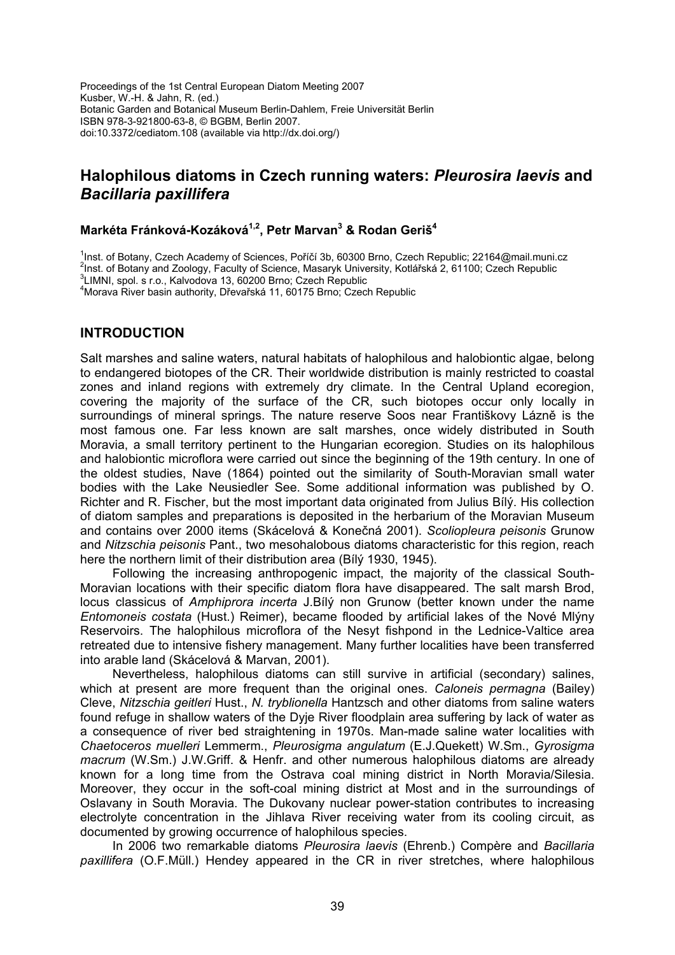Proceedings of the 1st Central European Diatom Meeting 2007 Kusber, W.-H. & Jahn, R. (ed.) Botanic Garden and Botanical Museum Berlin-Dahlem, Freie Universität Berlin ISBN 978-3-921800-63-8, © BGBM, Berlin 2007. doi:10.3372/cediatom.108 (available via http://dx.doi.org/)

# **Halophilous diatoms in Czech running waters:** *Pleurosira laevis* **and**  *Bacillaria paxillifera*

### **Markéta Fránková-Kozáková1,2, Petr Marvan3 & Rodan Geriš<sup>4</sup>**

<sup>1</sup>Inst. of Botany, Czech Academy of Sciences, Poříčí 3b, 60300 Brno, Czech Republic: 22164@mail.muni.cz <sup>1</sup>Inst. of Botany, Czech Academy of Sciences, Poříčí 3b, 60300 Brno, Czech Republic; [22164@mail.muni.cz](mailto:22164@mail.muni.cz)<br><sup>2</sup>Inst. of Botany and Zaelagy, Fesulty of Science, Magazyk University, Kotlářská 3, 64400; Czech Republic <sup>2</sup>Inst. of Botany and Zoology, Faculty of Science, Masaryk University, Kotlářská 2, 61100; Czech Republic<br><sup>3</sup>LIMNL anel, a.r.e., Kolvedova 13, 60200 Brne: Czech Benublic

<sup>3</sup>LIMNI, spol. s r.o., Kalvodova 13, 60200 Brno; Czech Republic

4 Morava River basin authority, Dřevařská 11, 60175 Brno; Czech Republic

#### **INTRODUCTION**

Salt marshes and saline waters, natural habitats of halophilous and halobiontic algae, belong to endangered biotopes of the CR. Their worldwide distribution is mainly restricted to coastal zones and inland regions with extremely dry climate. In the Central Upland ecoregion, covering the majority of the surface of the CR, such biotopes occur only locally in surroundings of mineral springs. The nature reserve Soos near Františkovy Lázně is the most famous one. Far less known are salt marshes, once widely distributed in South Moravia, a small territory pertinent to the Hungarian ecoregion. Studies on its halophilous and halobiontic microflora were carried out since the beginning of the 19th century. In one of the oldest studies, Nave (1864) pointed out the similarity of South-Moravian small water bodies with the Lake Neusiedler See. Some additional information was published by O. Richter and R. Fischer, but the most important data originated from Julius Bílý. His collection of diatom samples and preparations is deposited in the herbarium of the Moravian Museum and contains over 2000 items (Skácelová & Konečná 2001). *Scoliopleura peisonis* Grunow and *Nitzschia peisonis* Pant., two mesohalobous diatoms characteristic for this region, reach here the northern limit of their distribution area (Bílý 1930, 1945).

Following the increasing anthropogenic impact, the majority of the classical South-Moravian locations with their specific diatom flora have disappeared. The salt marsh Brod, locus classicus of *Amphiprora incerta* J.Bílý non Grunow (better known under the name *Entomoneis costata* (Hust.) Reimer), became flooded by artificial lakes of the Nové Mlýny Reservoirs. The halophilous microflora of the Nesyt fishpond in the Lednice-Valtice area retreated due to intensive fishery management. Many further localities have been transferred into arable land (Skácelová & Marvan, 2001).

Nevertheless, halophilous diatoms can still survive in artificial (secondary) salines, which at present are more frequent than the original ones. *Caloneis permagna* (Bailey) Cleve, *Nitzschia geitleri* Hust., *N. tryblionella* Hantzsch and other diatoms from saline waters found refuge in shallow waters of the Dyje River floodplain area suffering by lack of water as a consequence of river bed straightening in 1970s. Man-made saline water localities with *Chaetoceros muelleri* Lemmerm., *Pleurosigma angulatum* (E.J.Quekett) W.Sm., *Gyrosigma macrum* (W.Sm.) J.W.Griff. & Henfr. and other numerous halophilous diatoms are already known for a long time from the Ostrava coal mining district in North Moravia/Silesia. Moreover, they occur in the soft-coal mining district at Most and in the surroundings of Oslavany in South Moravia. The Dukovany nuclear power-station contributes to increasing electrolyte concentration in the Jihlava River receiving water from its cooling circuit, as documented by growing occurrence of halophilous species.

In 2006 two remarkable diatoms *Pleurosira laevis* (Ehrenb.) Compère and *Bacillaria paxillifera* (O.F.Müll.) Hendey appeared in the CR in river stretches, where halophilous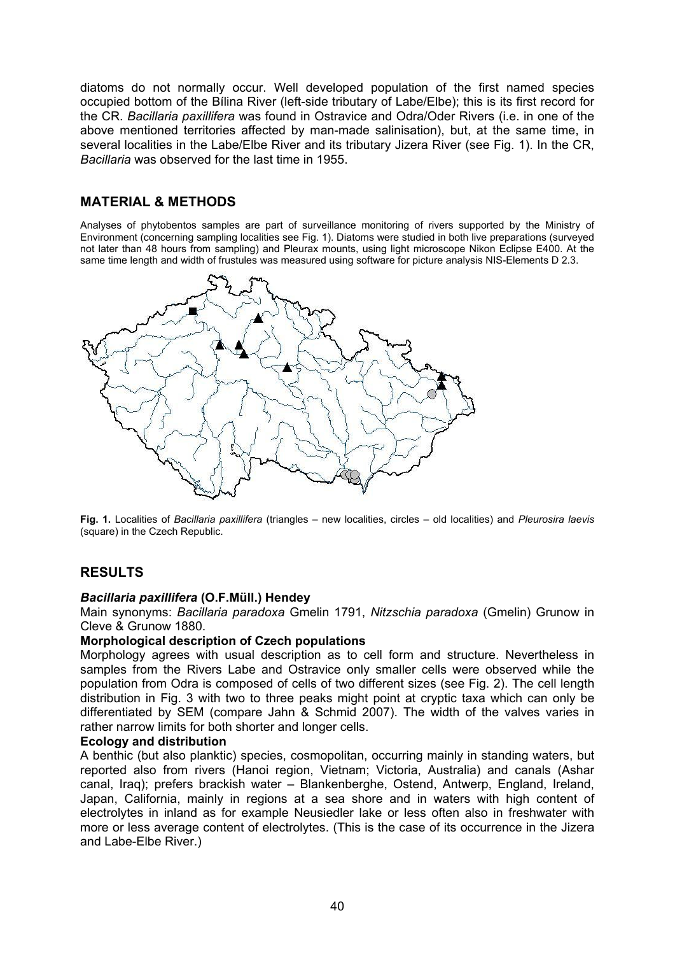diatoms do not normally occur. Well developed population of the first named species occupied bottom of the Bílina River (left-side tributary of Labe/Elbe); this is its first record for the CR. *Bacillaria paxillifera* was found in Ostravice and Odra/Oder Rivers (i.e. in one of the above mentioned territories affected by man-made salinisation), but, at the same time, in several localities in the Labe/Elbe River and its tributary Jizera River (see Fig. 1). In the CR, *Bacillaria* was observed for the last time in 1955.

## **MATERIAL & METHODS**

Analyses of phytobentos samples are part of surveillance monitoring of rivers supported by the Ministry of Environment (concerning sampling localities see Fig. 1). Diatoms were studied in both live preparations (surveyed not later than 48 hours from sampling) and Pleurax mounts, using light microscope Nikon Eclipse E400. At the same time length and width of frustules was measured using software for picture analysis NIS-Elements D 2.3.



**Fig. 1.** Localities of *Bacillaria paxillifera* (triangles – new localities, circles – old localities) and *Pleurosira laevis*  (square) in the Czech Republic.

## **RESULTS**

### *Bacillaria paxillifera* **(O.F.Müll.) Hendey**

Main synonyms: *Bacillaria paradoxa* Gmelin 1791, *Nitzschia paradoxa* (Gmelin) Grunow in Cleve & Grunow 1880.

### **Morphological description of Czech populations**

Morphology agrees with usual description as to cell form and structure. Nevertheless in samples from the Rivers Labe and Ostravice only smaller cells were observed while the population from Odra is composed of cells of two different sizes (see Fig. 2). The cell length distribution in Fig. 3 with two to three peaks might point at cryptic taxa which can only be differentiated by SEM (compare Jahn & Schmid 2007). The width of the valves varies in rather narrow limits for both shorter and longer cells.

#### **Ecology and distribution**

A benthic (but also planktic) species, cosmopolitan, occurring mainly in standing waters, but reported also from rivers (Hanoi region, Vietnam; Victoria, Australia) and canals (Ashar canal, Iraq); prefers brackish water – Blankenberghe, Ostend, Antwerp, England, Ireland, Japan, California, mainly in regions at a sea shore and in waters with high content of electrolytes in inland as for example Neusiedler lake or less often also in freshwater with more or less average content of electrolytes. (This is the case of its occurrence in the Jizera and Labe-Elbe River.)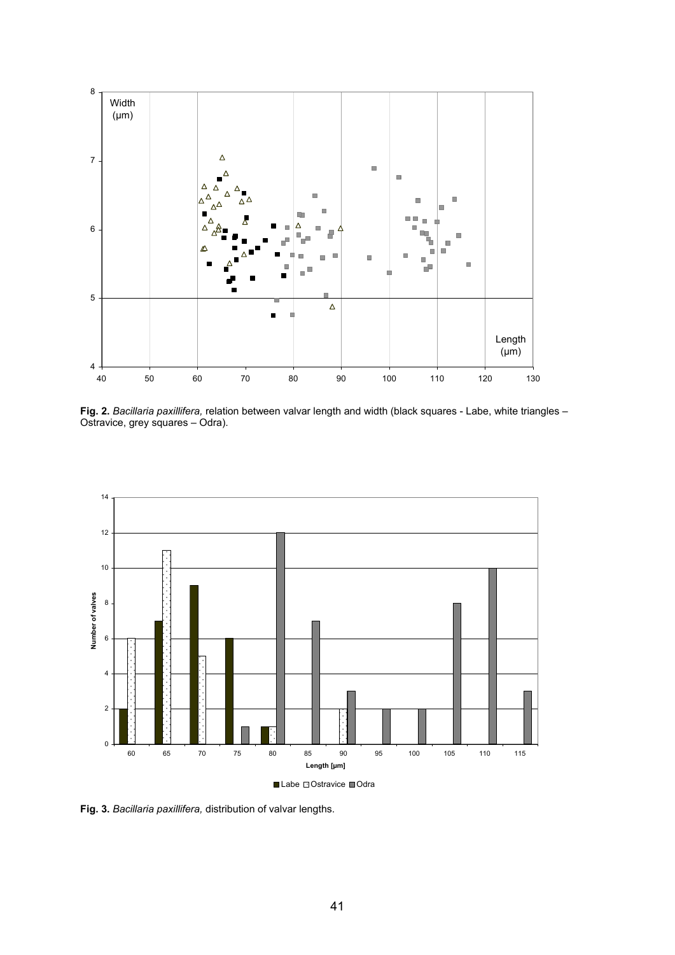

**Fig. 2.** *Bacillaria paxillifera,* relation between valvar length and width (black squares - Labe, white triangles – Ostravice, grey squares – Odra).



**Fig. 3.** *Bacillaria paxillifera,* distribution of valvar lengths.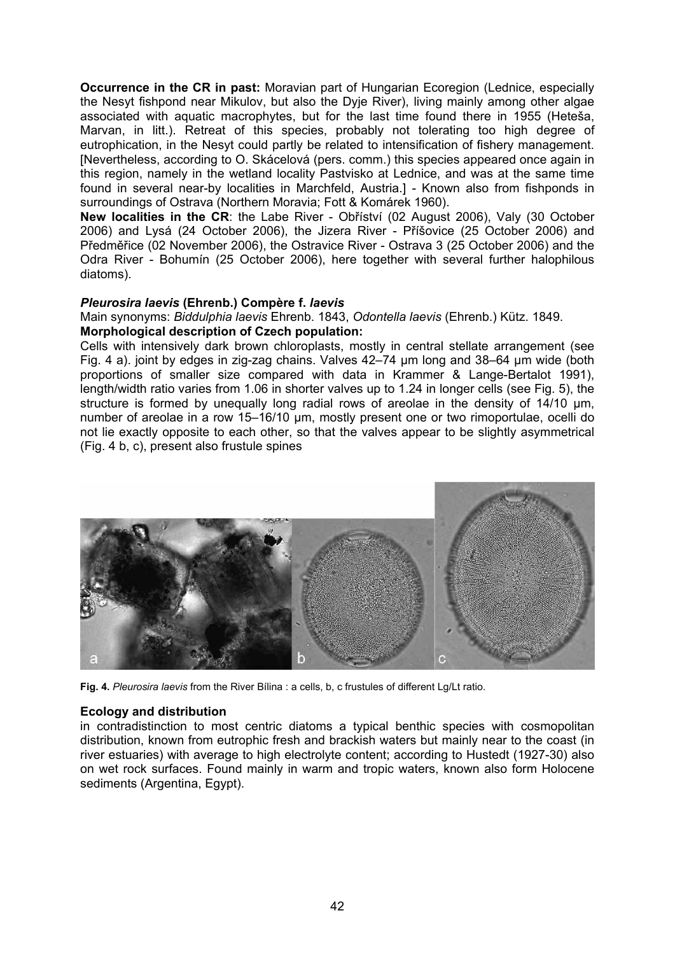**Occurrence in the CR in past:** Moravian part of Hungarian Ecoregion (Lednice, especially the Nesyt fishpond near Mikulov, but also the Dyje River), living mainly among other algae associated with aquatic macrophytes, but for the last time found there in 1955 (Heteša, Marvan, in litt.). Retreat of this species, probably not tolerating too high degree of eutrophication, in the Nesyt could partly be related to intensification of fishery management. [Nevertheless, according to O. Skácelová (pers. comm.) this species appeared once again in this region, namely in the wetland locality Pastvisko at Lednice, and was at the same time found in several near-by localities in Marchfeld, Austria.] - Known also from fishponds in surroundings of Ostrava (Northern Moravia; Fott & Komárek 1960).

**New localities in the CR**: the Labe River - Obříství (02 August 2006), Valy (30 October 2006) and Lysá (24 October 2006), the Jizera River - Příšovice (25 October 2006) and Předměřice (02 November 2006), the Ostravice River - Ostrava 3 (25 October 2006) and the Odra River - Bohumín (25 October 2006), here together with several further halophilous diatoms).

#### *Pleurosira laevis* **(Ehrenb.) Compère f.** *laevis*

Main synonyms: *Biddulphia laevis* Ehrenb. 1843, *Odontella laevis* (Ehrenb.) Kütz. 1849. **Morphological description of Czech population:** 

Cells with intensively dark brown chloroplasts, mostly in central stellate arrangement (see Fig. 4 a). joint by edges in zig-zag chains. Valves 42–74 µm long and 38–64 µm wide (both proportions of smaller size compared with data in Krammer & Lange-Bertalot 1991), length/width ratio varies from 1.06 in shorter valves up to 1.24 in longer cells (see Fig. 5), the structure is formed by unequally long radial rows of areolae in the density of 14/10 μm, number of areolae in a row 15–16/10 μm, mostly present one or two rimoportulae, ocelli do not lie exactly opposite to each other, so that the valves appear to be slightly asymmetrical (Fig. 4 b, c), present also frustule spines



**Fig. 4.** *Pleurosira laevis* from the River Bílina : a cells, b, c frustules of different Lg/Lt ratio.

#### **Ecology and distribution**

in contradistinction to most centric diatoms a typical benthic species with cosmopolitan distribution, known from eutrophic fresh and brackish waters but mainly near to the coast (in river estuaries) with average to high electrolyte content; according to Hustedt (1927-30) also on wet rock surfaces. Found mainly in warm and tropic waters, known also form Holocene sediments (Argentina, Egypt).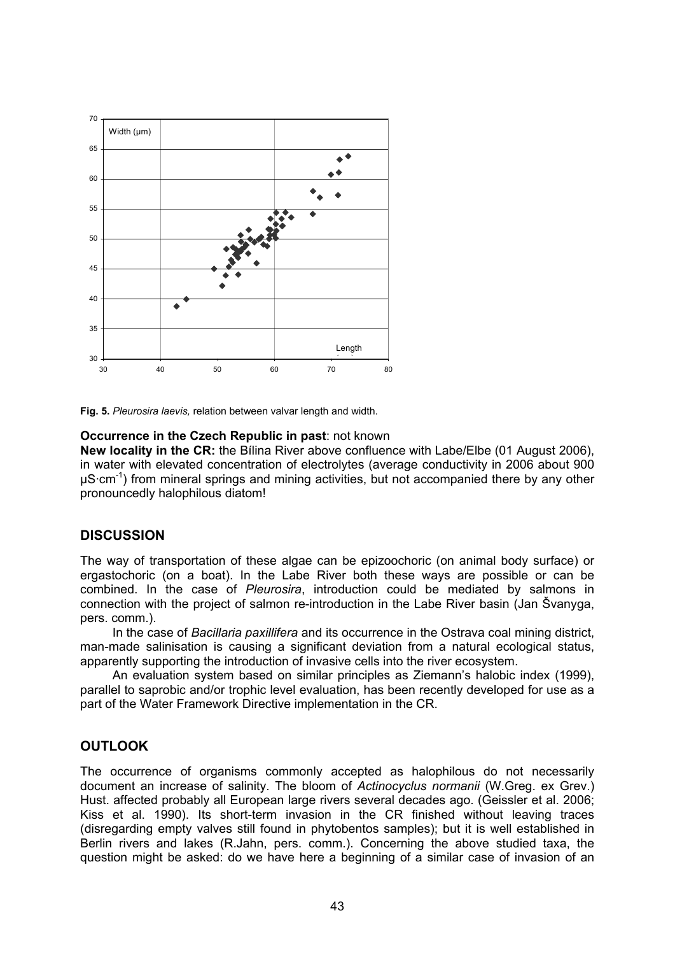

**Fig. 5.** *Pleurosira laevis,* relation between valvar length and width.

#### **Occurrence in the Czech Republic in past**: not known

**New locality in the CR:** the Bílina River above confluence with Labe/Elbe (01 August 2006), in water with elevated concentration of electrolytes (average conductivity in 2006 about 900  $\mu$ S·cm<sup>-1</sup>) from mineral springs and mining activities, but not accompanied there by any other pronouncedly halophilous diatom!

## **DISCUSSION**

The way of transportation of these algae can be epizoochoric (on animal body surface) or ergastochoric (on a boat). In the Labe River both these ways are possible or can be combined. In the case of *Pleurosira*, introduction could be mediated by salmons in connection with the project of salmon re-introduction in the Labe River basin (Jan Švanyga, pers. comm.).

In the case of *Bacillaria paxillifera* and its occurrence in the Ostrava coal mining district, man-made salinisation is causing a significant deviation from a natural ecological status, apparently supporting the introduction of invasive cells into the river ecosystem.

An evaluation system based on similar principles as Ziemann's halobic index (1999), parallel to saprobic and/or trophic level evaluation, has been recently developed for use as a part of the Water Framework Directive implementation in the CR.

## **OUTLOOK**

The occurrence of organisms commonly accepted as halophilous do not necessarily document an increase of salinity. The bloom of *Actinocyclus normanii* (W.Greg. ex Grev.) Hust. affected probably all European large rivers several decades ago. (Geissler et al. 2006; Kiss et al. 1990). Its short-term invasion in the CR finished without leaving traces (disregarding empty valves still found in phytobentos samples); but it is well established in Berlin rivers and lakes (R.Jahn, pers. comm.). Concerning the above studied taxa, the question might be asked: do we have here a beginning of a similar case of invasion of an